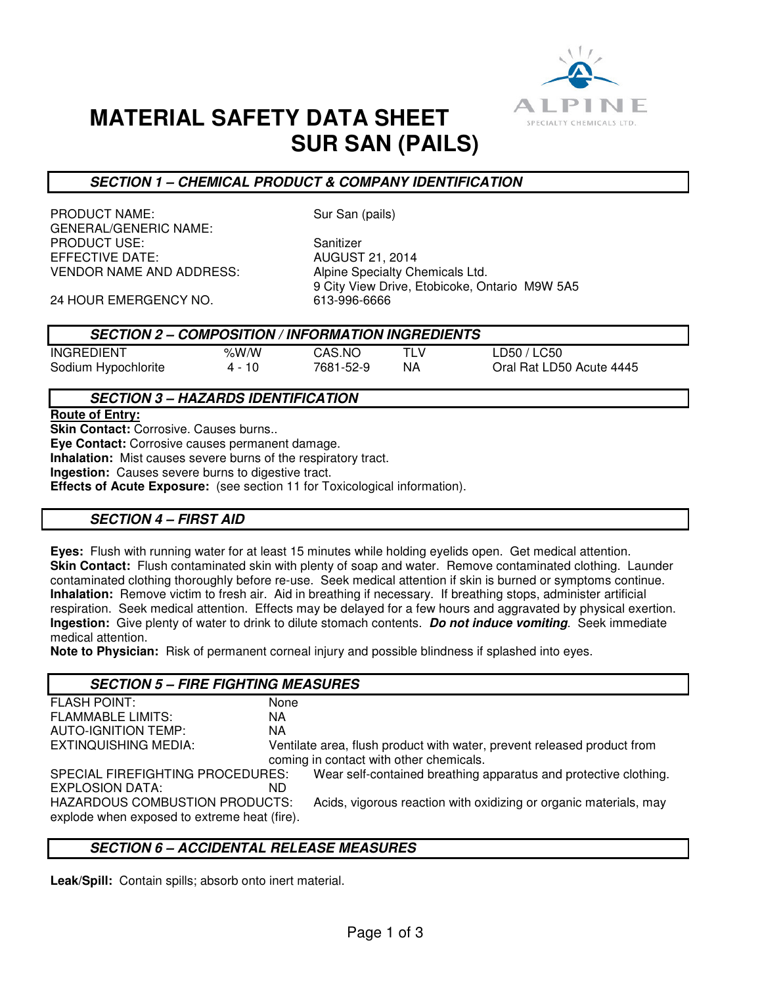

# **MATERIAL SAFETY DATA SHEET SUR SAN (PAILS)**

# **SECTION 1 – CHEMICAL PRODUCT & COMPANY IDENTIFICATION**

PRODUCT NAME: Sur San (pails) GENERAL/GENERIC NAME: PRODUCT USE:<br>EFFECTIVE DATE: Sanitizer AUGUST 21, 2014 EFFECTIVE DATE: VENDOR NAME AND ADDRESS: Alpine Specialty Chemicals Ltd.

9 City View Drive, Etobicoke, Ontario M9W 5A5<br>613-996-6666

24 HOUR EMERGENCY NO.

| <b>SECTION 2 – COMPOSITION / INFORMATION INGREDIENTS</b> |  |
|----------------------------------------------------------|--|
|                                                          |  |

| <b>INGREDIENT</b>   |  |  |
|---------------------|--|--|
| Sodium Hypochlorite |  |  |

%W/W CAS.NO TLV LD50 / LC50

4 - 10 7681-52-9 NA Oral Rat LD50 Acute 4445

# **SECTION 3 – HAZARDS IDENTIFICATION**

**Route of Entry:** 

**Skin Contact: Corrosive. Causes burns..** 

**Eye Contact:** Corrosive causes permanent damage.

**Inhalation:** Mist causes severe burns of the respiratory tract.

**Ingestion:** Causes severe burns to digestive tract.

**Effects of Acute Exposure:** (see section 11 for Toxicological information).

## **SECTION 4 – FIRST AID**

**Eyes:** Flush with running water for at least 15 minutes while holding eyelids open. Get medical attention. **Skin Contact:** Flush contaminated skin with plenty of soap and water. Remove contaminated clothing. Launder contaminated clothing thoroughly before re-use. Seek medical attention if skin is burned or symptoms continue. **Inhalation:** Remove victim to fresh air. Aid in breathing if necessary. If breathing stops, administer artificial respiration. Seek medical attention. Effects may be delayed for a few hours and aggravated by physical exertion. **Ingestion:** Give plenty of water to drink to dilute stomach contents. **Do not induce vomiting**. Seek immediate medical attention.

**Note to Physician:** Risk of permanent corneal injury and possible blindness if splashed into eyes.

#### **SECTION 5 – FIRE FIGHTING MEASURES** FLASH POINT: None FLAMMABLE LIMITS: NA AUTO-IGNITION TEMP: NA EXTINQUISHING MEDIA: Ventilate area, flush product with water, prevent released product from coming in contact with other chemicals. SPECIAL FIREFIGHTING PROCEDURES: Wear self-contained breathing apparatus and protective clothing. EXPLOSION DATA: ND HAZARDOUS COMBUSTION PRODUCTS: Acids, vigorous reaction with oxidizing or organic materials, may explode when exposed to extreme heat (fire).

# **SECTION 6 – ACCIDENTAL RELEASE MEASURES**

**Leak/Spill:** Contain spills; absorb onto inert material.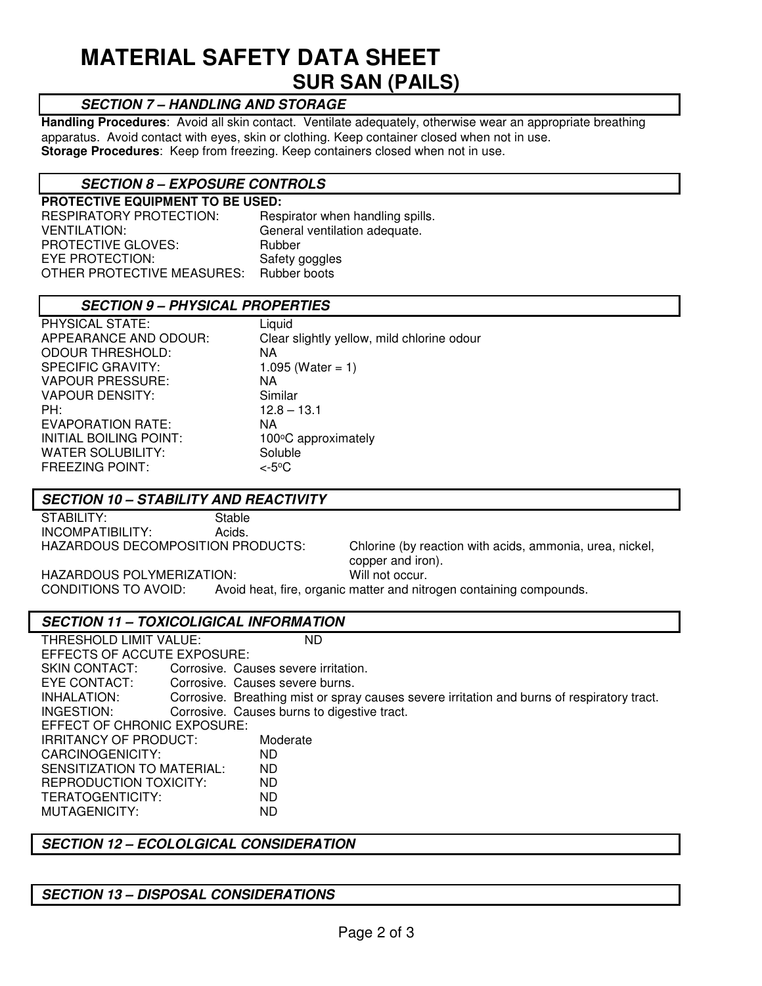# **MATERIAL SAFETY DATA SHEET SUR SAN (PAILS)**

# **SECTION 7 – HANDLING AND STORAGE**

**Handling Procedures**: Avoid all skin contact. Ventilate adequately, otherwise wear an appropriate breathing apparatus. Avoid contact with eyes, skin or clothing. Keep container closed when not in use. **Storage Procedures**: Keep from freezing. Keep containers closed when not in use.

# **SECTION 8 – EXPOSURE CONTROLS**

**PROTECTIVE EQUIPMENT TO BE USED:**  RESPIRATORY PROTECTION: Respirator when handling spills. VENTILATION: General ventilation adequate. PROTECTIVE GLOVES: Rubber EYE PROTECTION: Safety goggles<br>
OTHER PROTECTIVE MEASURES: Rubber boots OTHER PROTECTIVE MEASURES:

## **SECTION 9 – PHYSICAL PROPERTIES**

| PHYSICAL STATE:          | Liquid                                     |
|--------------------------|--------------------------------------------|
| APPEARANCE AND ODOUR:    | Clear slightly yellow, mild chlorine odour |
| <b>ODOUR THRESHOLD:</b>  | NA                                         |
| <b>SPECIFIC GRAVITY:</b> | 1.095 (Water = 1)                          |
| <b>VAPOUR PRESSURE:</b>  | NA                                         |
| <b>VAPOUR DENSITY:</b>   | Similar                                    |
| PH:                      | $12.8 - 13.1$                              |
| EVAPORATION RATE:        | NA                                         |
| INITIAL BOILING POINT:   | 100°C approximately                        |
| <b>WATER SOLUBILITY:</b> | Soluble                                    |
| <b>FREEZING POINT:</b>   | <-5°C                                      |

#### **SECTION 10 – STABILITY AND REACTIVITY**

STABILITY: Stable INCOMPATIBILITY: Acids.

HAZARDOUS DECOMPOSITION PRODUCTS: Chlorine (by reaction with acids, ammonia, urea, nickel, copper and iron).

HAZARDOUS POLYMERIZATION: Will not occur.<br>CONDITIONS TO AVOID: Avoid heat. fire. organic matter and nitr Avoid heat, fire, organic matter and nitrogen containing compounds.

## **SECTION 11 – TOXICOLIGICAL INFORMATION**

THRESHOLD LIMIT VALUE: ND EFFECTS OF ACCUTE EXPOSURE: SKIN CONTACT: Corrosive. Causes severe irritation. EYE CONTACT: Corrosive. Causes severe burns.<br>INHALATION: Corrosive. Breathing mist or spra Corrosive. Breathing mist or spray causes severe irritation and burns of respiratory tract. INGESTION: Corrosive. Causes burns to digestive tract. EFFECT OF CHRONIC EXPOSURE: IRRITANCY OF PRODUCT: Moderate CARCINOGENICITY: ND SENSITIZATION TO MATERIAL: ND<br>REPRODUCTION TOXICITY: ND REPRODUCTION TOXICITY: TERATOGENTICITY: ND MUTAGENICITY: ND

## **SECTION 12 – ECOLOLGICAL CONSIDERATION**

## **SECTION 13 – DISPOSAL CONSIDERATIONS**